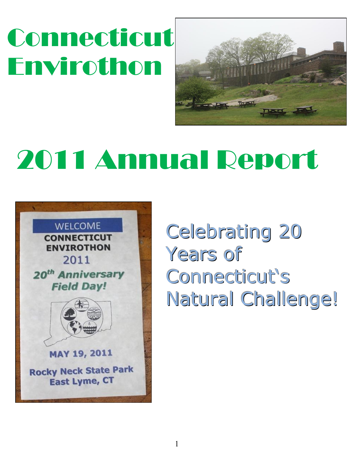# Connecticut Envirothon



# 2011 Annual Report



Celebrating 20 Years of Connecticut's Natural Challenge!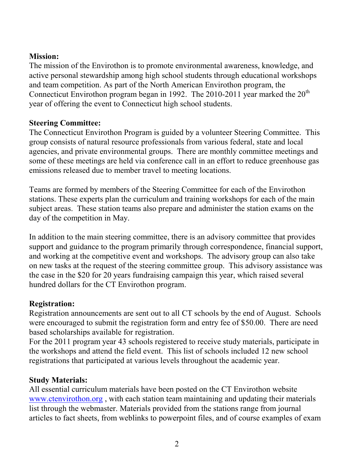#### **Mission:**

The mission of the Envirothon is to promote environmental awareness, knowledge, and active personal stewardship among high school students through educational workshops and team competition. As part of the North American Envirothon program, the Connecticut Envirothon program began in 1992. The 2010-2011 year marked the  $20<sup>th</sup>$ year of offering the event to Connecticut high school students.

#### **Steering Committee:**

The Connecticut Envirothon Program is guided by a volunteer Steering Committee. This group consists of natural resource professionals from various federal, state and local agencies, and private environmental groups. There are monthly committee meetings and some of these meetings are held via conference call in an effort to reduce greenhouse gas emissions released due to member travel to meeting locations.

Teams are formed by members of the Steering Committee for each of the Envirothon stations. These experts plan the curriculum and training workshops for each of the main subject areas. These station teams also prepare and administer the station exams on the day of the competition in May.

In addition to the main steering committee, there is an advisory committee that provides support and guidance to the program primarily through correspondence, financial support, and working at the competitive event and workshops. The advisory group can also take on new tasks at the request of the steering committee group. This advisory assistance was the case in the \$20 for 20 years fundraising campaign this year, which raised several hundred dollars for the CT Envirothon program.

#### **Registration:**

Registration announcements are sent out to all CT schools by the end of August. Schools were encouraged to submit the registration form and entry fee of \$50.00. There are need based scholarships available for registration.

For the 2011 program year 43 schools registered to receive study materials, participate in the workshops and attend the field event. This list of schools included 12 new school registrations that participated at various levels throughout the academic year.

#### **Study Materials:**

All essential curriculum materials have been posted on the CT Envirothon website [www.ctenvirothon.org](http://www.ctenvirothon.org/) , with each station team maintaining and updating their materials list through the webmaster. Materials provided from the stations range from journal articles to fact sheets, from weblinks to powerpoint files, and of course examples of exam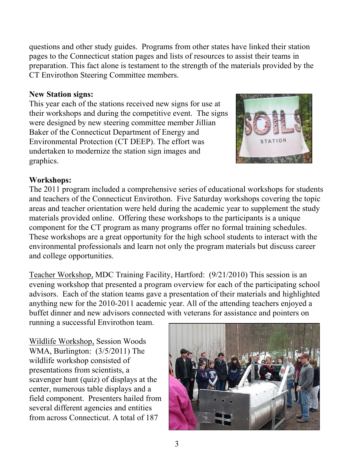questions and other study guides. Programs from other states have linked their station pages to the Connecticut station pages and lists of resources to assist their teams in preparation. This fact alone is testament to the strength of the materials provided by the CT Envirothon Steering Committee members.

#### **New Station signs:**

This year each of the stations received new signs for use at their workshops and during the competitive event. The signs were designed by new steering committee member Jillian Baker of the Connecticut Department of Energy and Environmental Protection (CT DEEP). The effort was undertaken to modernize the station sign images and graphics.



#### **Workshops:**

The 2011 program included a comprehensive series of educational workshops for students and teachers of the Connecticut Envirothon. Five Saturday workshops covering the topic areas and teacher orientation were held during the academic year to supplement the study materials provided online. Offering these workshops to the participants is a unique component for the CT program as many programs offer no formal training schedules. These workshops are a great opportunity for the high school students to interact with the environmental professionals and learn not only the program materials but discuss career and college opportunities.

Teacher Workshop, MDC Training Facility, Hartford: (9/21/2010) This session is an evening workshop that presented a program overview for each of the participating school advisors. Each of the station teams gave a presentation of their materials and highlighted anything new for the 2010-2011 academic year. All of the attending teachers enjoyed a buffet dinner and new advisors connected with veterans for assistance and pointers on

running a successful Envirothon team.

Wildlife Workshop, Session Woods WMA, Burlington: (3/5/2011) The wildlife workshop consisted of presentations from scientists, a scavenger hunt (quiz) of displays at the center, numerous table displays and a field component. Presenters hailed from several different agencies and entities from across Connecticut. A total of 187

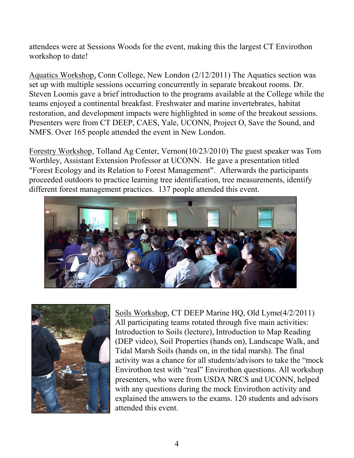attendees were at Sessions Woods for the event, making this the largest CT Envirothon workshop to date!

Aquatics Workshop, Conn College, New London (2/12/2011) The Aquatics section was set up with multiple sessions occurring concurrently in separate breakout rooms. Dr. Steven Loomis gave a brief introduction to the programs available at the College while the teams enjoyed a continental breakfast. Freshwater and marine invertebrates, habitat restoration, and development impacts were highlighted in some of the breakout sessions. Presenters were from CT DEEP, CAES, Yale, UCONN, Project O, Save the Sound, and NMFS. Over 165 people attended the event in New London.

Forestry Workshop, Tolland Ag Center, Vernon(10/23/2010) The guest speaker was Tom Worthley, Assistant Extension Professor at UCONN. He gave a presentation titled "Forest Ecology and its Relation to Forest Management". Afterwards the participants proceeded outdoors to practice learning tree identification, tree measurements, identify different forest management practices. 137 people attended this event.





Soils Workshop, CT DEEP Marine HQ, Old Lyme(4/2/2011) All participating teams rotated through five main activities: Introduction to Soils (lecture), Introduction to Map Reading (DEP video), Soil Properties (hands on), Landscape Walk, and Tidal Marsh Soils (hands on, in the tidal marsh). The final activity was a chance for all students/advisors to take the "mock Envirothon test with "real" Envirothon questions. All workshop presenters, who were from USDA NRCS and UCONN, helped with any questions during the mock Envirothon activity and explained the answers to the exams. 120 students and advisors attended this event.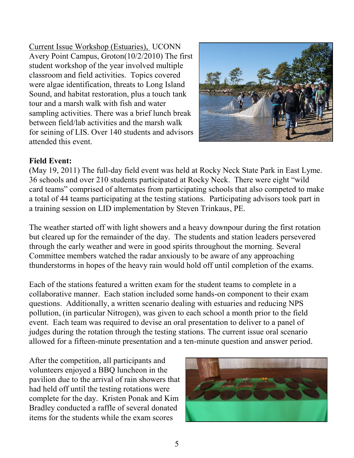Current Issue Workshop (Estuaries), UCONN Avery Point Campus, Groton(10/2/2010) The first student workshop of the year involved multiple classroom and field activities. Topics covered were algae identification, threats to Long Island Sound, and habitat restoration, plus a touch tank tour and a marsh walk with fish and water sampling activities. There was a brief lunch break between field/lab activities and the marsh walk for seining of LIS. Over 140 students and advisors attended this event.



#### **Field Event:**

(May 19, 2011) The full-day field event was held at Rocky Neck State Park in East Lyme. 36 schools and over 210 students participated at Rocky Neck. There were eight "wild card teams" comprised of alternates from participating schools that also competed to make a total of 44 teams participating at the testing stations. Participating advisors took part in a training session on LID implementation by Steven Trinkaus, PE.

The weather started off with light showers and a heavy downpour during the first rotation but cleared up for the remainder of the day. The students and station leaders persevered through the early weather and were in good spirits throughout the morning. Several Committee members watched the radar anxiously to be aware of any approaching thunderstorms in hopes of the heavy rain would hold off until completion of the exams.

Each of the stations featured a written exam for the student teams to complete in a collaborative manner. Each station included some hands-on component to their exam questions. Additionally, a written scenario dealing with estuaries and reducing NPS pollution, (in particular Nitrogen), was given to each school a month prior to the field event. Each team was required to devise an oral presentation to deliver to a panel of judges during the rotation through the testing stations. The current issue oral scenario allowed for a fifteen-minute presentation and a ten-minute question and answer period.

After the competition, all participants and volunteers enjoyed a BBQ luncheon in the pavilion due to the arrival of rain showers that had held off until the testing rotations were complete for the day. Kristen Ponak and Kim Bradley conducted a raffle of several donated items for the students while the exam scores

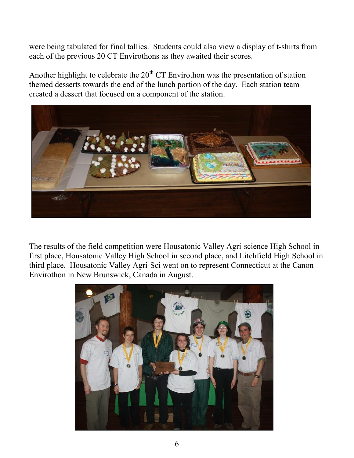were being tabulated for final tallies. Students could also view a display of t-shirts from each of the previous 20 CT Envirothons as they awaited their scores.

Another highlight to celebrate the  $20<sup>th</sup>$  CT Envirothon was the presentation of station themed desserts towards the end of the lunch portion of the day. Each station team created a dessert that focused on a component of the station.



The results of the field competition were Housatonic Valley Agri-science High School in first place, Housatonic Valley High School in second place, and Litchfield High School in third place. Housatonic Valley Agri-Sci went on to represent Connecticut at the Canon Envirothon in New Brunswick, Canada in August.

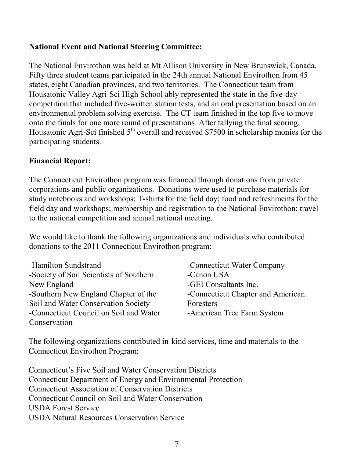#### **National Event and National Steering Committee:**

The National Envirothon was held at Mt Allison University in New Brunswick, Canada. Fifty three student teams participated in the 24th annual National Envirothon from 45 states, eight Canadian provinces, and two territories. The Connecticut team from Housatonic Valley Agri-Sci High School ably represented the state in the five-day competition that included five-written station tests, and an oral presentation based on an environmental problem solving exercise. The CT team finished in the top five to move onto the finals for one more round of presentations. After tallying the final scoring, Housatonic Agri-Sci finished  $5<sup>th</sup>$  overall and received \$7500 in scholarship monies for the participating students.

#### **Financial Report:**

The Connecticut Envirothon program was financed through donations from private corporations and public organizations. Donations were used to purchase materials for study notebooks and workshops; T-shirts for the field day; food and refreshments for the field day and workshops; membership and registration to the National Envirothon; travel to the national competition and annual national meeting.

We would like to thank the following organizations and individuals who contributed donations to the 2011 Connecticut Envirothon program:

| -Hamilton Sundstrand                    | -Connecticut Water Company        |
|-----------------------------------------|-----------------------------------|
| -Society of Soil Scientists of Southern | -Canon USA                        |
| New England                             | -GEI Consultants Inc.             |
| -Southern New England Chapter of the    | -Connecticut Chapter and American |
| Soil and Water Conservation Society     | Foresters                         |
| -Connecticut Council on Soil and Water  | -American Tree Farm System        |
| Conservation                            |                                   |

The following organizations contributed in-kind services, time and materials to the Connecticut Envirothon Program:

Connecticut's Five Soil and Water Conservation Districts Connecticut Department of Energy and Environmental Protection Connecticut Association of Conservation Districts Connecticut Council on Soil and Water Conservation USDA Forest Service USDA Natural Resources Conservation Service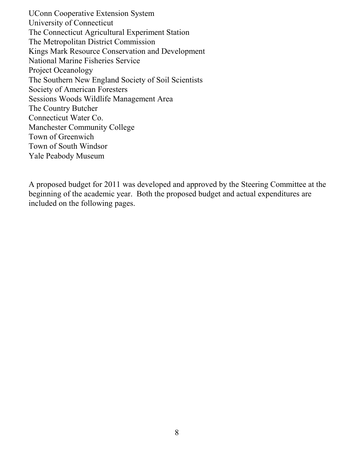UConn Cooperative Extension System University of Connecticut The Connecticut Agricultural Experiment Station The Metropolitan District Commission Kings Mark Resource Conservation and Development National Marine Fisheries Service Project Oceanology The Southern New England Society of Soil Scientists Society of American Foresters Sessions Woods Wildlife Management Area The Country Butcher Connecticut Water Co. Manchester Community College Town of Greenwich Town of South Windsor Yale Peabody Museum

A proposed budget for 2011 was developed and approved by the Steering Committee at the beginning of the academic year. Both the proposed budget and actual expenditures are included on the following pages.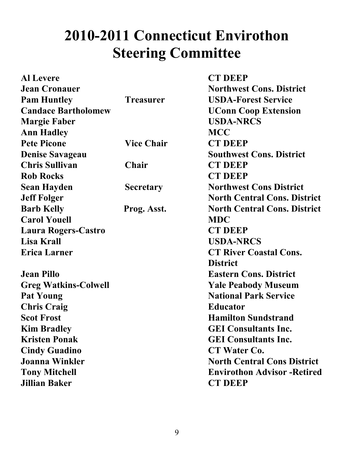# **2010-2011 Connecticut Envirothon Steering Committee**

| <b>Al Levere</b>            |                   | <b>CT DEEP</b>                      |
|-----------------------------|-------------------|-------------------------------------|
| <b>Jean Cronauer</b>        |                   | <b>Northwest Cons. District</b>     |
| <b>Pam Huntley</b>          | <b>Treasurer</b>  | <b>USDA-Forest Service</b>          |
| <b>Candace Bartholomew</b>  |                   | <b>UConn Coop Extension</b>         |
| <b>Margie Faber</b>         |                   | <b>USDA-NRCS</b>                    |
| <b>Ann Hadley</b>           |                   | <b>MCC</b>                          |
| <b>Pete Picone</b>          | <b>Vice Chair</b> | <b>CT DEEP</b>                      |
| <b>Denise Savageau</b>      |                   | <b>Southwest Cons. District</b>     |
| <b>Chris Sullivan</b>       | Chair             | <b>CT DEEP</b>                      |
| <b>Rob Rocks</b>            |                   | <b>CT DEEP</b>                      |
| <b>Sean Hayden</b>          | <b>Secretary</b>  | <b>Northwest Cons District</b>      |
| <b>Jeff Folger</b>          |                   | <b>North Central Cons. District</b> |
| <b>Barb Kelly</b>           | Prog. Asst.       | <b>North Central Cons. District</b> |
| <b>Carol Youell</b>         |                   | <b>MDC</b>                          |
| Laura Rogers-Castro         |                   | <b>CT DEEP</b>                      |
| <b>Lisa Krall</b>           |                   | <b>USDA-NRCS</b>                    |
| <b>Erica Larner</b>         |                   | <b>CT River Coastal Cons.</b>       |
|                             |                   | <b>District</b>                     |
| <b>Jean Pillo</b>           |                   | <b>Eastern Cons. District</b>       |
| <b>Greg Watkins-Colwell</b> |                   | <b>Yale Peabody Museum</b>          |
| <b>Pat Young</b>            |                   | <b>National Park Service</b>        |
| <b>Chris Craig</b>          |                   | <b>Educator</b>                     |
| <b>Scot Frost</b>           |                   | <b>Hamilton Sundstrand</b>          |
| <b>Kim Bradley</b>          |                   | <b>GEI Consultants Inc.</b>         |
| <b>Kristen Ponak</b>        |                   | <b>GEI Consultants Inc.</b>         |
| <b>Cindy Guadino</b>        |                   | CT Water Co.                        |
| <b>Joanna Winkler</b>       |                   | <b>North Central Cons District</b>  |
| <b>Tony Mitchell</b>        |                   | <b>Envirothon Advisor - Retired</b> |
| <b>Jillian Baker</b>        |                   | <b>CT DEEP</b>                      |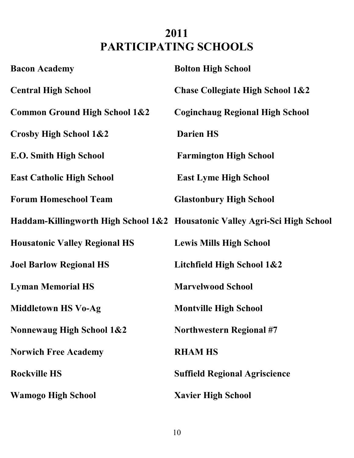# **2011 PARTICIPATING SCHOOLS**

| <b>Bacon Academy</b>                     | <b>Bolton High School</b>                                                  |
|------------------------------------------|----------------------------------------------------------------------------|
| <b>Central High School</b>               | <b>Chase Collegiate High School 1&amp;2</b>                                |
| <b>Common Ground High School 1&amp;2</b> | <b>Coginchaug Regional High School</b>                                     |
| Crosby High School 1&2                   | <b>Darien HS</b>                                                           |
| <b>E.O. Smith High School</b>            | <b>Farmington High School</b>                                              |
| <b>East Catholic High School</b>         | <b>East Lyme High School</b>                                               |
| <b>Forum Homeschool Team</b>             | <b>Glastonbury High School</b>                                             |
|                                          | Haddam-Killingworth High School 1&2 Housatonic Valley Agri-Sci High School |
| <b>Housatonic Valley Regional HS</b>     | <b>Lewis Mills High School</b>                                             |
| <b>Joel Barlow Regional HS</b>           | Litchfield High School 1&2                                                 |
| <b>Lyman Memorial HS</b>                 | <b>Marvelwood School</b>                                                   |
| <b>Middletown HS Vo-Ag</b>               | <b>Montville High School</b>                                               |
| <b>Nonnewaug High School 1&amp;2</b>     | <b>Northwestern Regional #7</b>                                            |
| <b>Norwich Free Academy</b>              | <b>RHAM HS</b>                                                             |
| <b>Rockville HS</b>                      | <b>Suffield Regional Agriscience</b>                                       |
| <b>Wamogo High School</b>                | <b>Xavier High School</b>                                                  |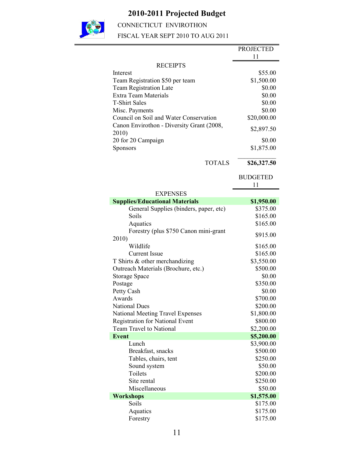### **2010-2011 Projected Budget**



CONNECTICUT ENVIROTHON

FISCAL YEAR SEPT 2010 TO AUG 2011

|                                           | <b>PROJECTED</b> |
|-------------------------------------------|------------------|
|                                           | 11               |
| <b>RECEIPTS</b>                           |                  |
| Interest                                  | \$55.00          |
| Team Registration \$50 per team           | \$1,500.00       |
| <b>Team Registration Late</b>             | \$0.00           |
| <b>Extra Team Materials</b>               | \$0.00           |
| <b>T-Shirt Sales</b>                      | \$0.00           |
| Misc. Payments                            | \$0.00           |
| Council on Soil and Water Conservation    | \$20,000.00      |
| Canon Envirothon - Diversity Grant (2008, |                  |
| 2010)                                     | \$2,897.50       |
| 20 for 20 Campaign                        | \$0.00           |
| <b>Sponsors</b>                           | \$1,875.00       |
|                                           |                  |
| <b>TOTALS</b>                             | \$26,327.50      |
|                                           | <b>BUDGETED</b>  |
|                                           | 11               |
| <b>EXPENSES</b>                           |                  |
| <b>Supplies/Educational Materials</b>     | \$1,950.00       |
| General Supplies (binders, paper, etc)    | \$375.00         |
| Soils                                     | \$165.00         |
| Aquatics                                  | \$165.00         |
| Forestry (plus \$750 Canon mini-grant     |                  |
| 2010)                                     | \$915.00         |
| Wildlife                                  | \$165.00         |
| <b>Current Issue</b>                      | \$165.00         |
| T Shirts & other merchandizing            | \$3,550.00       |
| Outreach Materials (Brochure, etc.)       | \$500.00         |
| <b>Storage Space</b>                      | \$0.00           |
| Postage                                   | \$350.00         |
| Petty Cash                                | \$0.00           |
| Awards                                    | \$700.00         |
| <b>National Dues</b>                      | \$200.00         |
| National Meeting Travel Expenses          | \$1,800.00       |
| Registration for National Event           | \$800.00         |
| <b>Team Travel to National</b>            | \$2,200.00       |
| <b>Event</b>                              | \$5,200.00       |
| Lunch                                     | \$3,900.00       |
| Breakfast, snacks                         | \$500.00         |
| Tables, chairs, tent                      | \$250.00         |
| Sound system                              | \$50.00          |
| Toilets                                   | \$200.00         |
| Site rental                               | \$250.00         |
| Miscellaneous                             | \$50.00          |
| <b>Workshops</b>                          | \$1,575.00       |
| Soils                                     | \$175.00         |
| Aquatics                                  | \$175.00         |
|                                           | \$175.00         |
| Forestry                                  |                  |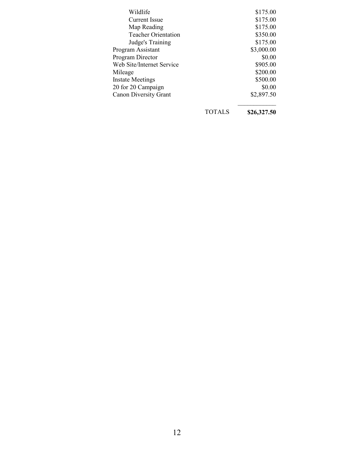| Wildlife                     | \$175.00   |
|------------------------------|------------|
| <b>Current Issue</b>         | \$175.00   |
| Map Reading                  | \$175.00   |
| <b>Teacher Orientation</b>   | \$350.00   |
| Judge's Training             | \$175.00   |
| Program Assistant            | \$3,000.00 |
| Program Director             | \$0.00     |
| Web Site/Internet Service    | \$905.00   |
| Mileage                      | \$200.00   |
| <b>Instate Meetings</b>      | \$500.00   |
| 20 for 20 Campaign           | \$0.00     |
| <b>Canon Diversity Grant</b> | \$2,897.50 |
|                              |            |

TOTALS **\$26,327.50**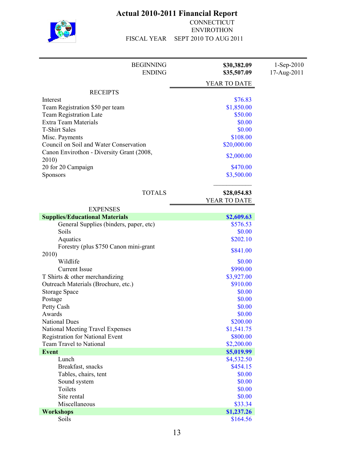

#### **Actual 2010-2011 Financial Report**

CONNECTICUT ENVIROTHON FISCAL YEAR SEPT 2010 TO AUG 2011

| <b>BEGINNING</b><br><b>ENDING</b>         | \$30,382.09<br>\$35,507.09  | $1-Sep-2010$<br>17-Aug-2011 |
|-------------------------------------------|-----------------------------|-----------------------------|
|                                           | YEAR TO DATE                |                             |
| <b>RECEIPTS</b>                           |                             |                             |
| Interest                                  | \$76.83                     |                             |
| Team Registration \$50 per team           | \$1,850.00                  |                             |
| <b>Team Registration Late</b>             | \$50.00                     |                             |
| <b>Extra Team Materials</b>               | \$0.00                      |                             |
| <b>T-Shirt Sales</b>                      | \$0.00                      |                             |
| Misc. Payments                            | \$108.00                    |                             |
| Council on Soil and Water Conservation    | \$20,000.00                 |                             |
| Canon Envirothon - Diversity Grant (2008, | \$2,000.00                  |                             |
| 2010)                                     |                             |                             |
| 20 for 20 Campaign                        | \$470.00                    |                             |
| Sponsors                                  | \$3,500.00                  |                             |
|                                           |                             |                             |
| <b>TOTALS</b>                             | \$28,054.83<br>YEAR TO DATE |                             |
| <b>EXPENSES</b>                           |                             |                             |
| <b>Supplies/Educational Materials</b>     | \$2,609.63                  |                             |
| General Supplies (binders, paper, etc)    | \$576.53                    |                             |
| Soils                                     | \$0.00                      |                             |
| Aquatics                                  | \$202.10                    |                             |
| Forestry (plus \$750 Canon mini-grant     |                             |                             |
| 2010)                                     | \$841.00                    |                             |
| Wildlife                                  | \$0.00                      |                             |
| <b>Current Issue</b>                      | \$990.00                    |                             |
| T Shirts & other merchandizing            | \$3,927.00                  |                             |
| Outreach Materials (Brochure, etc.)       | \$910.00                    |                             |
| <b>Storage Space</b>                      | \$0.00                      |                             |
| Postage                                   | \$0.00                      |                             |
| Petty Cash                                | \$0.00                      |                             |
| Awards                                    | \$0.00                      |                             |
| <b>National Dues</b>                      | \$200.00                    |                             |
| <b>National Meeting Travel Expenses</b>   | \$1,541.75                  |                             |
| <b>Registration for National Event</b>    | \$800.00                    |                             |
| <b>Team Travel to National</b>            | \$2,200.00                  |                             |
| <b>Event</b>                              | \$5,019.99                  |                             |
| Lunch                                     | \$4,532.50                  |                             |
| Breakfast, snacks                         | \$454.15                    |                             |
| Tables, chairs, tent                      | \$0.00                      |                             |
| Sound system                              | \$0.00                      |                             |
| Toilets                                   | \$0.00                      |                             |
| Site rental                               | \$0.00                      |                             |
| Miscellaneous                             | \$33.34                     |                             |
| <b>Workshops</b>                          | \$1,237.26                  |                             |
| Soils                                     | \$164.56                    |                             |